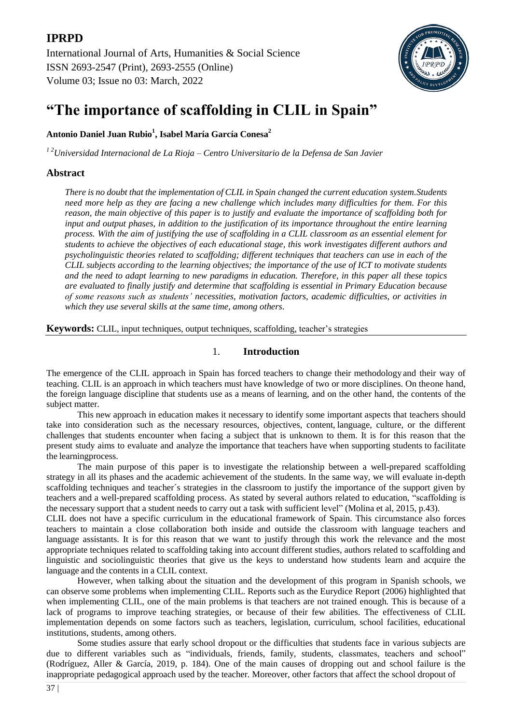

# **"The importance of scaffolding in CLIL in Spain"**

**Antonio Daniel Juan Rubio<sup>1</sup> , Isabel María García Conesa<sup>2</sup>**

*1 2Universidad Internacional de La Rioja – Centro Universitario de la Defensa de San Javier*

# **Abstract**

*There is no doubt that the implementation of CLIL in Spain changed the current education system.Students need more help as they are facing a new challenge which includes many difficulties for them. For this reason, the main objective of this paper is to justify and evaluate the importance of scaffolding both for input and output phases, in addition to the justification of its importance throughout the entire learning*  process. With the aim of justifying the use of scaffolding in a CLIL classroom as an essential element for *students to achieve the objectives of each educational stage, this work investigates different authors and psycholinguistic theories related to scaffolding; different techniques that teachers can use in each of the CLIL subjects according to the learning objectives; the importance of the use of ICT to motivate students and the need to adapt learning to new paradigms in education. Therefore, in this paper all these topics are evaluated to finally justify and determine that scaffolding is essential in Primary Education because of some reasons such as students' necessities, motivation factors, academic difficulties, or activities in which they use several skills at the same time, among others*.

**Keywords:** CLIL, input techniques, output techniques, scaffolding, teacher's strategies

## 1. **Introduction**

The emergence of the CLIL approach in Spain has forced teachers to change their methodology and their way of teaching. CLIL is an approach in which teachers must have knowledge of two or more disciplines. On theone hand, the foreign language discipline that students use as a means of learning, and on the other hand, the contents of the subject matter.

This new approach in education makes it necessary to identify some important aspects that teachers should take into consideration such as the necessary resources, objectives, content, language, culture, or the different challenges that students encounter when facing a subject that is unknown to them. It is for this reason that the present study aims to evaluate and analyze the importance that teachers have when supporting students to facilitate the learningprocess.

The main purpose of this paper is to investigate the relationship between a well-prepared scaffolding strategy in all its phases and the academic achievement of the students. In the same way, we will evaluate in-depth scaffolding techniques and teacher´s strategies in the classroom to justify the importance of the support given by teachers and a well-prepared scaffolding process. As stated by several authors related to education, "scaffolding is the necessary support that a student needs to carry out a task with sufficient level" (Molina et al, 2015, p.43).

CLIL does not have a specific curriculum in the educational framework of Spain. This circumstance also forces teachers to maintain a close collaboration both inside and outside the classroom with language teachers and language assistants. It is for this reason that we want to justify through this work the relevance and the most appropriate techniques related to scaffolding taking into account different studies, authors related to scaffolding and linguistic and sociolinguistic theories that give us the keys to understand how students learn and acquire the language and the contents in a CLIL context.

However, when talking about the situation and the development of this program in Spanish schools, we can observe some problems when implementing CLIL. Reports such as the Eurydice Report (2006) highlighted that when implementing CLIL, one of the main problems is that teachers are not trained enough. This is because of a lack of programs to improve teaching strategies, or because of their few abilities. The effectiveness of CLIL implementation depends on some factors such as teachers, legislation, curriculum, school facilities, educational institutions, students, among others.

Some studies assure that early school dropout or the difficulties that students face in various subjects are due to different variables such as "individuals, friends, family, students, classmates, teachers and school" (Rodríguez, Aller & García, 2019, p. 184). One of the main causes of dropping out and school failure is the inappropriate pedagogical approach used by the teacher. Moreover, other factors that affect the school dropout of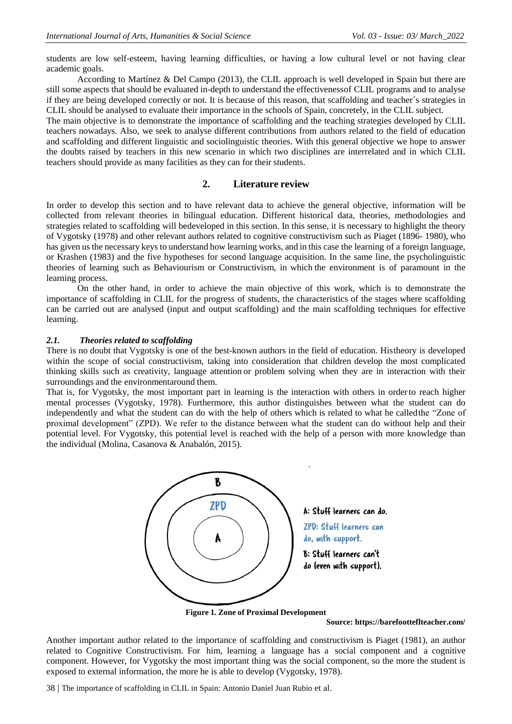students are low self-esteem, having learning difficulties, or having a low cultural level or not having clear academic goals.

According to Martínez & Del Campo (2013), the CLIL approach is well developed in Spain but there are still some aspects that should be evaluated in-depth to understand the effectivenessof CLIL programs and to analyse if they are being developed correctly or not. It is because of this reason, that scaffolding and teacher´s strategies in CLIL should be analysed to evaluate their importance in the schools of Spain, concretely, in the CLIL subject.

The main objective is to demonstrate the importance of scaffolding and the teaching strategies developed by CLIL teachers nowadays. Also, we seek to analyse different contributions from authors related to the field of education and scaffolding and different linguistic and sociolinguistic theories. With this general objective we hope to answer the doubts raised by teachers in this new scenario in which two disciplines are interrelated and in which CLIL teachers should provide as many facilities as they can for their students.

# **2. Literature review**

In order to develop this section and to have relevant data to achieve the general objective, information will be collected from relevant theories in bilingual education. Different historical data, theories, methodologies and strategies related to scaffolding will bedeveloped in this section. In this sense, it is necessary to highlight the theory of Vygotsky (1978) and other relevant authors related to cognitive constructivism such as Piaget (1896- 1980), who has given us the necessary keys to understand how learning works, and in this case the learning of a foreign language, or Krashen (1983) and the five hypotheses for second language acquisition. In the same line, the psycholinguistic theories of learning such as Behaviourism or Constructivism, in which the environment is of paramount in the learning process.

On the other hand, in order to achieve the main objective of this work, which is to demonstrate the importance of scaffolding in CLIL for the progress of students, the characteristics of the stages where scaffolding can be carried out are analysed (input and output scaffolding) and the main scaffolding techniques for effective learning.

#### *2.1. Theories related to scaffolding*

There is no doubt that Vygotsky is one of the best-known authors in the field of education. Histheory is developed within the scope of social constructivism, taking into consideration that children develop the most complicated thinking skills such as creativity, language attention or problem solving when they are in interaction with their surroundings and the environmentaround them.

That is, for Vygotsky, the most important part in learning is the interaction with others in orderto reach higher mental processes (Vygotsky, 1978). Furthermore, this author distinguishes between what the student can do independently and what the student can do with the help of others which is related to what he calledthe "Zone of proximal development" (ZPD). We refer to the distance between what the student can do without help and their potential level. For Vygotsky, this potential level is reached with the help of a person with more knowledge than the individual (Molina, Casanova & Anabalón, 2015).



**Figure 1. Zone of Proximal Development** 

**Source: <https://barefootteflteacher.com/>**

Another important author related to the importance of scaffolding and constructivism is Piaget (1981), an author related to Cognitive Constructivism. For him, learning a language has a social component and a cognitive component. However, for Vygotsky the most important thing was the social component, so the more the student is exposed to external information, the more he is able to develop (Vygotsky, 1978).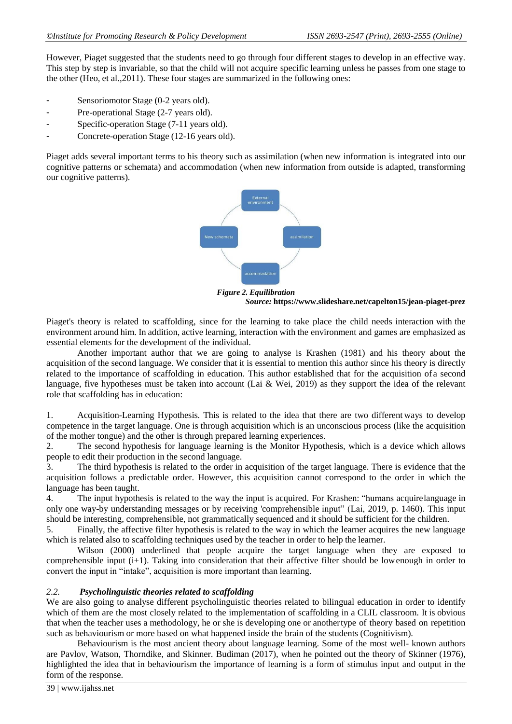However, Piaget suggested that the students need to go through four different stages to develop in an effective way. This step by step is invariable, so that the child will not acquire specific learning unless he passes from one stage to the other (Heo, et al.,2011). These four stages are summarized in the following ones:

- Sensoriomotor Stage (0-2 years old).
- Pre-operational Stage (2-7 years old).
- Specific-operation Stage (7-11 years old).
- Concrete-operation Stage (12-16 years old).

Piaget adds several important terms to his theory such as assimilation (when new information is integrated into our cognitive patterns or schemata) and accommodation (when new information from outside is adapted, transforming our cognitive patterns).



*Figure 2. Equilibration Source:* **<https://www.slideshare.net/capelton15/jean-piaget-prez>**

Piaget's theory is related to scaffolding, since for the learning to take place the child needs interaction with the environment around him. In addition, active learning, interaction with the environment and games are emphasized as essential elements for the development of the individual.

Another important author that we are going to analyse is Krashen (1981) and his theory about the acquisition of the second language. We consider that it is essential to mention this author since his theory is directly related to the importance of scaffolding in education. This author established that for the acquisition of a second language, five hypotheses must be taken into account (Lai & Wei, 2019) as they support the idea of the relevant role that scaffolding has in education:

1. Acquisition-Learning Hypothesis. This is related to the idea that there are two different ways to develop competence in the target language. One is through acquisition which is an unconscious process (like the acquisition of the mother tongue) and the other is through prepared learning experiences.

2. The second hypothesis for language learning is the Monitor Hypothesis, which is a device which allows people to edit their production in the second language.

3. The third hypothesis is related to the order in acquisition of the target language. There is evidence that the acquisition follows a predictable order. However, this acquisition cannot correspond to the order in which the language has been taught.

4. The input hypothesis is related to the way the input is acquired. For Krashen: "humans acquirelanguage in only one way-by understanding messages or by receiving 'comprehensible input" (Lai, 2019, p. 1460). This input should be interesting, comprehensible, not grammatically sequenced and it should be sufficient for the children.

5. Finally, the affective filter hypothesis is related to the way in which the learner acquires the new language which is related also to scaffolding techniques used by the teacher in order to help the learner.

Wilson (2000) underlined that people acquire the target language when they are exposed to comprehensible input (i+1). Taking into consideration that their affective filter should be lowenough in order to convert the input in "intake", acquisition is more important than learning.

#### *2.2. Psycholinguistic theories related to scaffolding*

We are also going to analyse different psycholinguistic theories related to bilingual education in order to identify which of them are the most closely related to the implementation of scaffolding in a CLIL classroom. It is obvious that when the teacher uses a methodology, he or she is developing one or anothertype of theory based on repetition such as behaviourism or more based on what happened inside the brain of the students (Cognitivism).

Behaviourism is the most ancient theory about language learning. Some of the most well- known authors are Pavlov, Watson, Thorndike, and Skinner. Budiman (2017), when he pointed out the theory of Skinner (1976), highlighted the idea that in behaviourism the importance of learning is a form of stimulus input and output in the form of the response.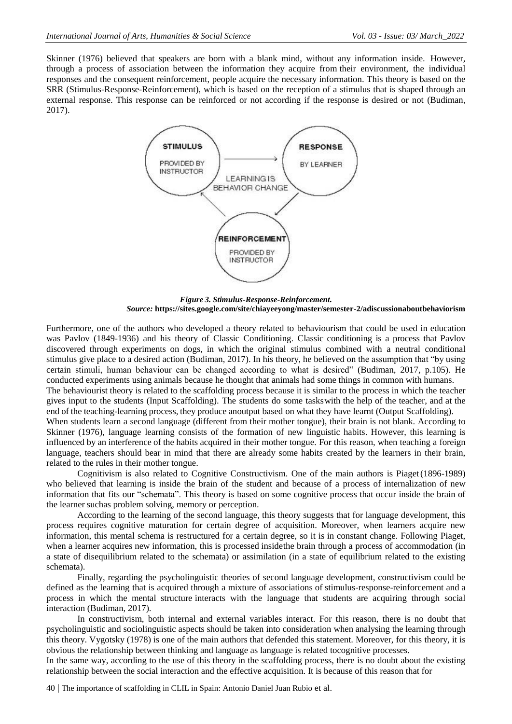Skinner (1976) believed that speakers are born with a blank mind, without any information inside. However, through a process of association between the information they acquire from their environment, the individual responses and the consequent reinforcement, people acquire the necessary information. This theory is based on the SRR (Stimulus-Response-Reinforcement), which is based on the reception of a stimulus that is shaped through an external response. This response can be reinforced or not according if the response is desired or not (Budiman, 2017).



*Figure 3. Stimulus-Response-Reinforcement. Source:* **<https://sites.google.com/site/chiayeeyong/master/semester-2/adiscussionaboutbehaviorism>**

Furthermore, one of the authors who developed a theory related to behaviourism that could be used in education was Pavlov (1849-1936) and his theory of Classic Conditioning. Classic conditioning is a process that Pavlov discovered through experiments on dogs, in which the original stimulus combined with a neutral conditional stimulus give place to a desired action (Budiman, 2017). In his theory, he believed on the assumption that "by using certain stimuli, human behaviour can be changed according to what is desired" (Budiman, 2017, p.105). He conducted experiments using animals because he thought that animals had some things in common with humans.

The behaviourist theory is related to the scaffolding process because it is similar to the process in which the teacher gives input to the students (Input Scaffolding). The students do some taskswith the help of the teacher, and at the end of the teaching-learning process, they produce anoutput based on what they have learnt (Output Scaffolding).

When students learn a second language (different from their mother tongue), their brain is not blank. According to Skinner (1976), language learning consists of the formation of new linguistic habits. However, this learning is influenced by an interference of the habits acquired in their mother tongue. For this reason, when teaching a foreign language, teachers should bear in mind that there are already some habits created by the learners in their brain, related to the rules in their mother tongue.

Cognitivism is also related to Cognitive Constructivism. One of the main authors is Piaget(1896-1989) who believed that learning is inside the brain of the student and because of a process of internalization of new information that fits our "schemata". This theory is based on some cognitive process that occur inside the brain of the learner suchas problem solving, memory or perception.

According to the learning of the second language, this theory suggests that for language development, this process requires cognitive maturation for certain degree of acquisition. Moreover, when learners acquire new information, this mental schema is restructured for a certain degree, so it is in constant change. Following Piaget, when a learner acquires new information, this is processed insidethe brain through a process of accommodation (in a state of disequilibrium related to the schemata) or assimilation (in a state of equilibrium related to the existing schemata).

Finally, regarding the psycholinguistic theories of second language development, constructivism could be defined as the learning that is acquired through a mixture of associations of stimulus-response-reinforcement and a process in which the mental structure interacts with the language that students are acquiring through social interaction (Budiman, 2017).

In constructivism, both internal and external variables interact. For this reason, there is no doubt that psycholinguistic and sociolinguistic aspects should be taken into consideration when analysing the learning through this theory. Vygotsky (1978) is one of the main authors that defended this statement. Moreover, for this theory, it is obvious the relationship between thinking and language as language is related tocognitive processes.

In the same way, according to the use of this theory in the scaffolding process, there is no doubt about the existing relationship between the social interaction and the effective acquisition. It is because of this reason that for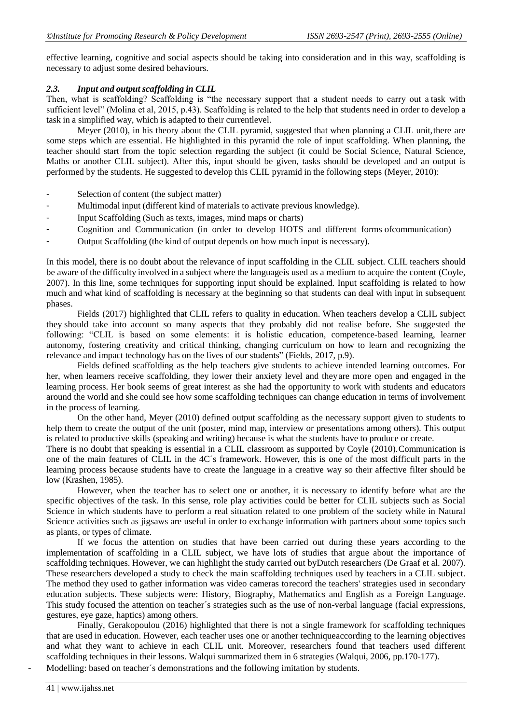effective learning, cognitive and social aspects should be taking into consideration and in this way, scaffolding is necessary to adjust some desired behaviours.

#### *2.3. Input and output scaffolding in CLIL*

Then, what is scaffolding? Scaffolding is "the necessary support that a student needs to carry out a task with sufficient level" (Molina et al, 2015, p.43). Scaffolding is related to the help that students need in order to develop a task in a simplified way, which is adapted to their currentlevel.

Meyer (2010), in his theory about the CLIL pyramid, suggested that when planning a CLIL unit, there are some steps which are essential. He highlighted in this pyramid the role of input scaffolding. When planning, the teacher should start from the topic selection regarding the subject (it could be Social Science, Natural Science, Maths or another CLIL subject). After this, input should be given, tasks should be developed and an output is performed by the students. He suggested to develop this CLIL pyramid in the following steps (Meyer, 2010):

- Selection of content (the subject matter)
- Multimodal input (different kind of materials to activate previous knowledge).
- Input Scaffolding (Such as texts, images, mind maps or charts)
- Cognition and Communication (in order to develop HOTS and different forms ofcommunication)
- Output Scaffolding (the kind of output depends on how much input is necessary).

In this model, there is no doubt about the relevance of input scaffolding in the CLIL subject. CLIL teachers should be aware of the difficulty involved in a subject where the languageis used as a medium to acquire the content (Coyle, 2007). In this line, some techniques for supporting input should be explained. Input scaffolding is related to how much and what kind of scaffolding is necessary at the beginning so that students can deal with input in subsequent phases.

Fields (2017) highlighted that CLIL refers to quality in education. When teachers develop a CLIL subject they should take into account so many aspects that they probably did not realise before. She suggested the following: "CLIL is based on some elements: it is holistic education, competence-based learning, learner autonomy, fostering creativity and critical thinking, changing curriculum on how to learn and recognizing the relevance and impact technology has on the lives of our students" (Fields, 2017, p.9).

Fields defined scaffolding as the help teachers give students to achieve intended learning outcomes. For her, when learners receive scaffolding, they lower their anxiety level and theyare more open and engaged in the learning process. Her book seems of great interest as she had the opportunity to work with students and educators around the world and she could see how some scaffolding techniques can change education in terms of involvement in the process of learning.

On the other hand, Meyer (2010) defined output scaffolding as the necessary support given to students to help them to create the output of the unit (poster, mind map, interview or presentations among others). This output is related to productive skills (speaking and writing) because is what the students have to produce or create.

There is no doubt that speaking is essential in a CLIL classroom as supported by Coyle (2010).Communication is one of the main features of CLIL in the 4C´s framework. However, this is one of the most difficult parts in the learning process because students have to create the language in a creative way so their affective filter should be low (Krashen, 1985).

However, when the teacher has to select one or another, it is necessary to identify before what are the specific objectives of the task. In this sense, role play activities could be better for CLIL subjects such as Social Science in which students have to perform a real situation related to one problem of the society while in Natural Science activities such as jigsaws are useful in order to exchange information with partners about some topics such as plants, or types of climate.

If we focus the attention on studies that have been carried out during these years according to the implementation of scaffolding in a CLIL subject, we have lots of studies that argue about the importance of scaffolding techniques. However, we can highlight the study carried out byDutch researchers (De Graaf et al. 2007). These researchers developed a study to check the main scaffolding techniques used by teachers in a CLIL subject. The method they used to gather information was video cameras torecord the teachers' strategies used in secondary education subjects. These subjects were: History, Biography, Mathematics and English as a Foreign Language. This study focused the attention on teacher´s strategies such as the use of non-verbal language (facial expressions, gestures, eye gaze, haptics) among others.

Finally, Gerakopoulou (2016) highlighted that there is not a single framework for scaffolding techniques that are used in education. However, each teacher uses one or another techniqueaccording to the learning objectives and what they want to achieve in each CLIL unit. Moreover, researchers found that teachers used different scaffolding techniques in their lessons. Walqui summarized them in 6 strategies (Walqui, 2006, pp.170-177).

Modelling: based on teacher's demonstrations and the following imitation by students.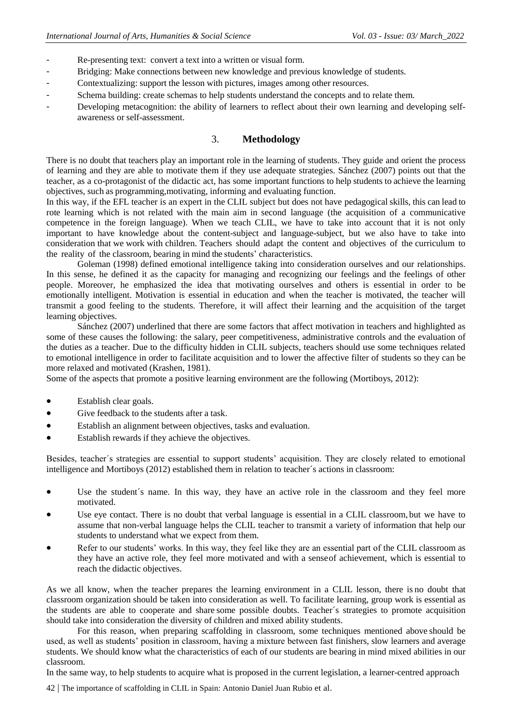- Re-presenting text: convert a text into a written or visual form.
- Bridging: Make connections between new knowledge and previous knowledge of students.
- Contextualizing: support the lesson with pictures, images among other resources.
- Schema building: create schemas to help students understand the concepts and to relate them.
- Developing metacognition: the ability of learners to reflect about their own learning and developing selfawareness or self-assessment.

# 3. **Methodology**

There is no doubt that teachers play an important role in the learning of students. They guide and orient the process of learning and they are able to motivate them if they use adequate strategies. Sánchez (2007) points out that the teacher, as a co-protagonist of the didactic act, has some important functions to help students to achieve the learning objectives, such as programming,motivating, informing and evaluating function.

In this way, if the EFL teacher is an expert in the CLIL subject but does not have pedagogical skills, this can lead to rote learning which is not related with the main aim in second language (the acquisition of a communicative competence in the foreign language). When we teach CLIL, we have to take into account that it is not only important to have knowledge about the content-subject and language-subject, but we also have to take into consideration that we work with children. Teachers should adapt the content and objectives of the curriculum to the reality of the classroom, bearing in mind the students' characteristics.

Goleman (1998) defined emotional intelligence taking into consideration ourselves and our relationships. In this sense, he defined it as the capacity for managing and recognizing our feelings and the feelings of other people. Moreover, he emphasized the idea that motivating ourselves and others is essential in order to be emotionally intelligent. Motivation is essential in education and when the teacher is motivated, the teacher will transmit a good feeling to the students. Therefore, it will affect their learning and the acquisition of the target learning objectives.

Sánchez (2007) underlined that there are some factors that affect motivation in teachers and highlighted as some of these causes the following: the salary, peer competitiveness, administrative controls and the evaluation of the duties as a teacher. Due to the difficulty hidden in CLIL subjects, teachers should use some techniques related to emotional intelligence in order to facilitate acquisition and to lower the affective filter of students so they can be more relaxed and motivated (Krashen, 1981).

Some of the aspects that promote a positive learning environment are the following (Mortiboys, 2012):

- Establish clear goals.
- Give feedback to the students after a task.
- Establish an alignment between objectives, tasks and evaluation.
- Establish rewards if they achieve the objectives.

Besides, teacher´s strategies are essential to support students' acquisition. They are closely related to emotional intelligence and Mortiboys (2012) established them in relation to teacher´s actions in classroom:

- Use the student's name. In this way, they have an active role in the classroom and they feel more motivated.
- Use eye contact. There is no doubt that verbal language is essential in a CLIL classroom, but we have to assume that non-verbal language helps the CLIL teacher to transmit a variety of information that help our students to understand what we expect from them.
- Refer to our students' works. In this way, they feel like they are an essential part of the CLIL classroom as they have an active role, they feel more motivated and with a senseof achievement, which is essential to reach the didactic objectives.

As we all know, when the teacher prepares the learning environment in a CLIL lesson, there is no doubt that classroom organization should be taken into consideration as well. To facilitate learning, group work is essential as the students are able to cooperate and share some possible doubts. Teacher´s strategies to promote acquisition should take into consideration the diversity of children and mixed ability students.

For this reason, when preparing scaffolding in classroom, some techniques mentioned above should be used, as well as students' position in classroom, having a mixture between fast finishers, slow learners and average students. We should know what the characteristics of each of our students are bearing in mind mixed abilities in our classroom.

In the same way, to help students to acquire what is proposed in the current legislation, a learner-centred approach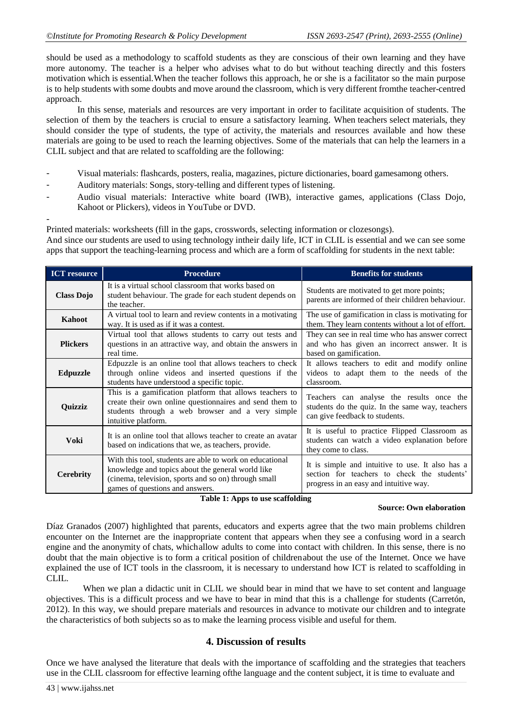should be used as a methodology to scaffold students as they are conscious of their own learning and they have more autonomy. The teacher is a helper who advises what to do but without teaching directly and this fosters motivation which is essential.When the teacher follows this approach, he or she is a facilitator so the main purpose is to help students with some doubts and move around the classroom, which is very different fromthe teacher-centred approach.

In this sense, materials and resources are very important in order to facilitate acquisition of students. The selection of them by the teachers is crucial to ensure a satisfactory learning. When teachers select materials, they should consider the type of students, the type of activity, the materials and resources available and how these materials are going to be used to reach the learning objectives. Some of the materials that can help the learners in a CLIL subject and that are related to scaffolding are the following:

- Visual materials: flashcards, posters, realia, magazines, picture dictionaries, board gamesamong others.
- Auditory materials: Songs, story-telling and different types of listening.
- Audio visual materials: Interactive white board (IWB), interactive games, applications (Class Dojo, Kahoot or Plickers), videos in YouTube or DVD.

- Printed materials: worksheets (fill in the gaps, crosswords, selecting information or clozesongs). And since our students are used to using technology intheir daily life, ICT in CLIL is essential and we can see some apps that support the teaching-learning process and which are a form of scaffolding for students in the next table:

| <b>ICT</b> resource | <b>Procedure</b>                                                                                                                                                                                         | <b>Benefits for students</b>                                                                                                              |
|---------------------|----------------------------------------------------------------------------------------------------------------------------------------------------------------------------------------------------------|-------------------------------------------------------------------------------------------------------------------------------------------|
| <b>Class Dojo</b>   | It is a virtual school classroom that works based on<br>student behaviour. The grade for each student depends on<br>the teacher.                                                                         | Students are motivated to get more points;<br>parents are informed of their children behaviour.                                           |
| Kahoot              | A virtual tool to learn and review contents in a motivating<br>way. It is used as if it was a contest.                                                                                                   | The use of gamification in class is motivating for<br>them. They learn contents without a lot of effort.                                  |
| <b>Plickers</b>     | Virtual tool that allows students to carry out tests and<br>questions in an attractive way, and obtain the answers in<br>real time.                                                                      | They can see in real time who has answer correct<br>and who has given an incorrect answer. It is<br>based on gamification.                |
| <b>Edpuzzle</b>     | Edpuzzle is an online tool that allows teachers to check<br>through online videos and inserted questions if the<br>students have understood a specific topic.                                            | It allows teachers to edit and modify online<br>videos to adapt them to the needs of the<br>classroom.                                    |
| Quizziz             | This is a gamification platform that allows teachers to<br>create their own online questionnaires and send them to<br>students through a web browser and a very simple<br>intuitive platform.            | Teachers can analyse the results once the<br>students do the quiz. In the same way, teachers<br>can give feedback to students.            |
| Voki                | It is an online tool that allows teacher to create an avatar<br>based on indications that we, as teachers, provide.                                                                                      | It is useful to practice Flipped Classroom as<br>students can watch a video explanation before<br>they come to class.                     |
| <b>Cerebrity</b>    | With this tool, students are able to work on educational<br>knowledge and topics about the general world like<br>(cinema, television, sports and so on) through small<br>games of questions and answers. | It is simple and intuitive to use. It also has a<br>section for teachers to check the students'<br>progress in an easy and intuitive way. |

**Table 1: Apps to use scaffolding** 

## **Source: Own elaboration**

Díaz Granados (2007) highlighted that parents, educators and experts agree that the two main problems children encounter on the Internet are the inappropriate content that appears when they see a confusing word in a search engine and the anonymity of chats, whichallow adults to come into contact with children. In this sense, there is no doubt that the main objective is to form a critical position of childrenabout the use of the Internet. Once we have explained the use of ICT tools in the classroom, it is necessary to understand how ICT is related to scaffolding in CLIL.

When we plan a didactic unit in CLIL we should bear in mind that we have to set content and language objectives. This is a difficult process and we have to bear in mind that this is a challenge for students (Carretón, 2012). In this way, we should prepare materials and resources in advance to motivate our children and to integrate the characteristics of both subjects so as to make the learning process visible and useful for them.

## **4. Discussion of results**

Once we have analysed the literature that deals with the importance of scaffolding and the strategies that teachers use in the CLIL classroom for effective learning ofthe language and the content subject, it is time to evaluate and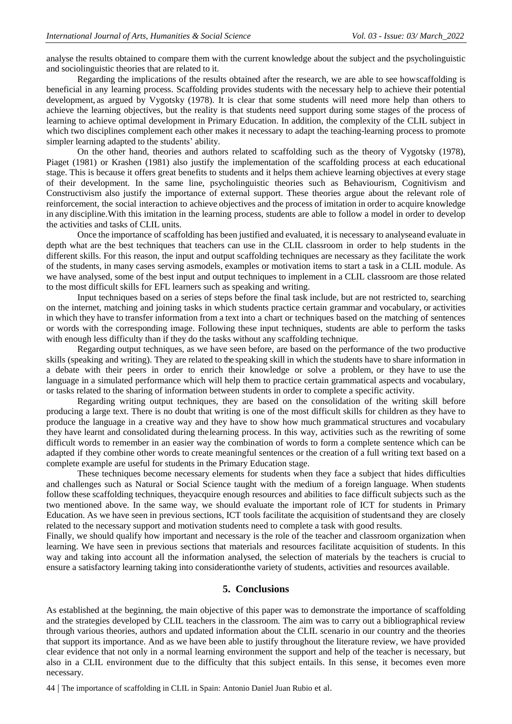analyse the results obtained to compare them with the current knowledge about the subject and the psycholinguistic and sociolinguistic theories that are related to it.

Regarding the implications of the results obtained after the research, we are able to see howscaffolding is beneficial in any learning process. Scaffolding provides students with the necessary help to achieve their potential development, as argued by Vygotsky (1978). It is clear that some students will need more help than others to achieve the learning objectives, but the reality is that students need support during some stages of the process of learning to achieve optimal development in Primary Education. In addition, the complexity of the CLIL subject in which two disciplines complement each other makes it necessary to adapt the teaching-learning process to promote simpler learning adapted to the students' ability.

On the other hand, theories and authors related to scaffolding such as the theory of Vygotsky (1978), Piaget (1981) or Krashen (1981) also justify the implementation of the scaffolding process at each educational stage. This is because it offers great benefits to students and it helps them achieve learning objectives at every stage of their development. In the same line, psycholinguistic theories such as Behaviourism, Cognitivism and Constructivism also justify the importance of external support. These theories argue about the relevant role of reinforcement, the social interaction to achieve objectives and the process of imitation in order to acquire knowledge in any discipline.With this imitation in the learning process, students are able to follow a model in order to develop the activities and tasks of CLIL units.

Once the importance of scaffolding has been justified and evaluated, it is necessary to analyseand evaluate in depth what are the best techniques that teachers can use in the CLIL classroom in order to help students in the different skills. For this reason, the input and output scaffolding techniques are necessary as they facilitate the work of the students, in many cases serving asmodels, examples or motivation items to start a task in a CLIL module. As we have analysed, some of the best input and output techniques to implement in a CLIL classroom are those related to the most difficult skills for EFL learners such as speaking and writing.

Input techniques based on a series of steps before the final task include, but are not restricted to, searching on the internet, matching and joining tasks in which students practice certain grammar and vocabulary, or activities in which they have to transfer information from a text into a chart or techniques based on the matching of sentences or words with the corresponding image. Following these input techniques, students are able to perform the tasks with enough less difficulty than if they do the tasks without any scaffolding technique.

Regarding output techniques, as we have seen before, are based on the performance of the two productive skills (speaking and writing). They are related to the speaking skill in which the students have to share information in a debate with their peers in order to enrich their knowledge or solve a problem, or they have to use the language in a simulated performance which will help them to practice certain grammatical aspects and vocabulary, or tasks related to the sharing of information between students in order to complete a specific activity.

Regarding writing output techniques, they are based on the consolidation of the writing skill before producing a large text. There is no doubt that writing is one of the most difficult skills for children as they have to produce the language in a creative way and they have to show how much grammatical structures and vocabulary they have learnt and consolidated during thelearning process. In this way, activities such as the rewriting of some difficult words to remember in an easier way the combination of words to form a complete sentence which can be adapted if they combine other words to create meaningful sentences or the creation of a full writing text based on a complete example are useful for students in the Primary Education stage.

These techniques become necessary elements for students when they face a subject that hides difficulties and challenges such as Natural or Social Science taught with the medium of a foreign language. When students follow these scaffolding techniques, theyacquire enough resources and abilities to face difficult subjects such as the two mentioned above. In the same way, we should evaluate the important role of ICT for students in Primary Education. As we have seen in previous sections, ICT tools facilitate the acquisition of studentsand they are closely related to the necessary support and motivation students need to complete a task with good results.

Finally, we should qualify how important and necessary is the role of the teacher and classroom organization when learning. We have seen in previous sections that materials and resources facilitate acquisition of students. In this way and taking into account all the information analysed, the selection of materials by the teachers is crucial to ensure a satisfactory learning taking into considerationthe variety of students, activities and resources available.

## **5. Conclusions**

As established at the beginning, the main objective of this paper was to demonstrate the importance of scaffolding and the strategies developed by CLIL teachers in the classroom. The aim was to carry out a bibliographical review through various theories, authors and updated information about the CLIL scenario in our country and the theories that support its importance. And as we have been able to justify throughout the literature review, we have provided clear evidence that not only in a normal learning environment the support and help of the teacher is necessary, but also in a CLIL environment due to the difficulty that this subject entails. In this sense, it becomes even more necessary.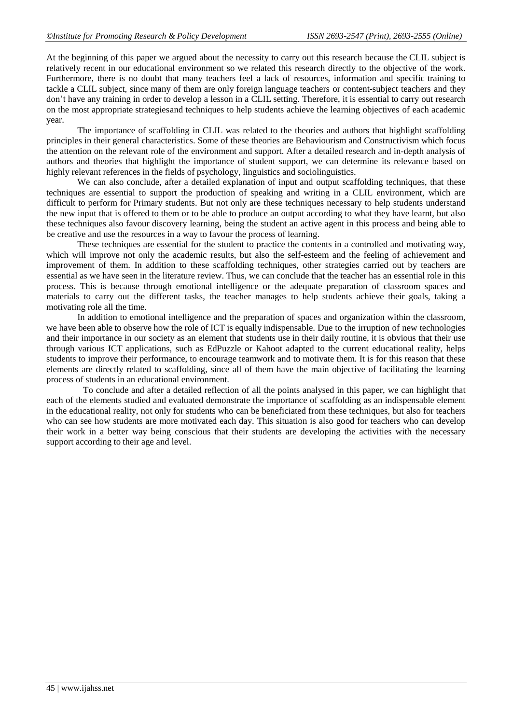At the beginning of this paper we argued about the necessity to carry out this research because the CLIL subject is relatively recent in our educational environment so we related this research directly to the objective of the work. Furthermore, there is no doubt that many teachers feel a lack of resources, information and specific training to tackle a CLIL subject, since many of them are only foreign language teachers or content-subject teachers and they don't have any training in order to develop a lesson in a CLIL setting. Therefore, it is essential to carry out research on the most appropriate strategiesand techniques to help students achieve the learning objectives of each academic year.

The importance of scaffolding in CLIL was related to the theories and authors that highlight scaffolding principles in their general characteristics. Some of these theories are Behaviourism and Constructivism which focus the attention on the relevant role of the environment and support. After a detailed research and in-depth analysis of authors and theories that highlight the importance of student support, we can determine its relevance based on highly relevant references in the fields of psychology, linguistics and sociolinguistics.

We can also conclude, after a detailed explanation of input and output scaffolding techniques, that these techniques are essential to support the production of speaking and writing in a CLIL environment, which are difficult to perform for Primary students. But not only are these techniques necessary to help students understand the new input that is offered to them or to be able to produce an output according to what they have learnt, but also these techniques also favour discovery learning, being the student an active agent in this process and being able to be creative and use the resources in a way to favour the process of learning.

These techniques are essential for the student to practice the contents in a controlled and motivating way, which will improve not only the academic results, but also the self-esteem and the feeling of achievement and improvement of them. In addition to these scaffolding techniques, other strategies carried out by teachers are essential as we have seen in the literature review. Thus, we can conclude that the teacher has an essential role in this process. This is because through emotional intelligence or the adequate preparation of classroom spaces and materials to carry out the different tasks, the teacher manages to help students achieve their goals, taking a motivating role all the time.

In addition to emotional intelligence and the preparation of spaces and organization within the classroom, we have been able to observe how the role of ICT is equally indispensable. Due to the irruption of new technologies and their importance in our society as an element that students use in their daily routine, it is obvious that their use through various ICT applications, such as EdPuzzle or Kahoot adapted to the current educational reality, helps students to improve their performance, to encourage teamwork and to motivate them. It is for this reason that these elements are directly related to scaffolding, since all of them have the main objective of facilitating the learning process of students in an educational environment.

To conclude and after a detailed reflection of all the points analysed in this paper, we can highlight that each of the elements studied and evaluated demonstrate the importance of scaffolding as an indispensable element in the educational reality, not only for students who can be beneficiated from these techniques, but also for teachers who can see how students are more motivated each day. This situation is also good for teachers who can develop their work in a better way being conscious that their students are developing the activities with the necessary support according to their age and level.